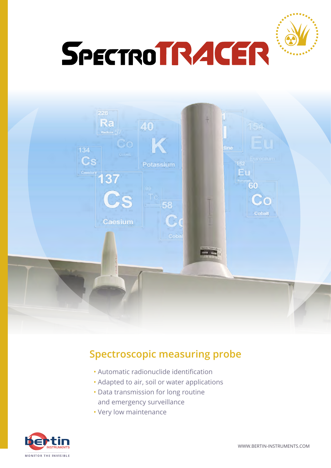



## **Spectroscopic measuring probe**

- Automatic radionuclide identification
- Adapted to air, soil or water applications
- Data transmission for long routine and emergency surveillance
- Very low maintenance